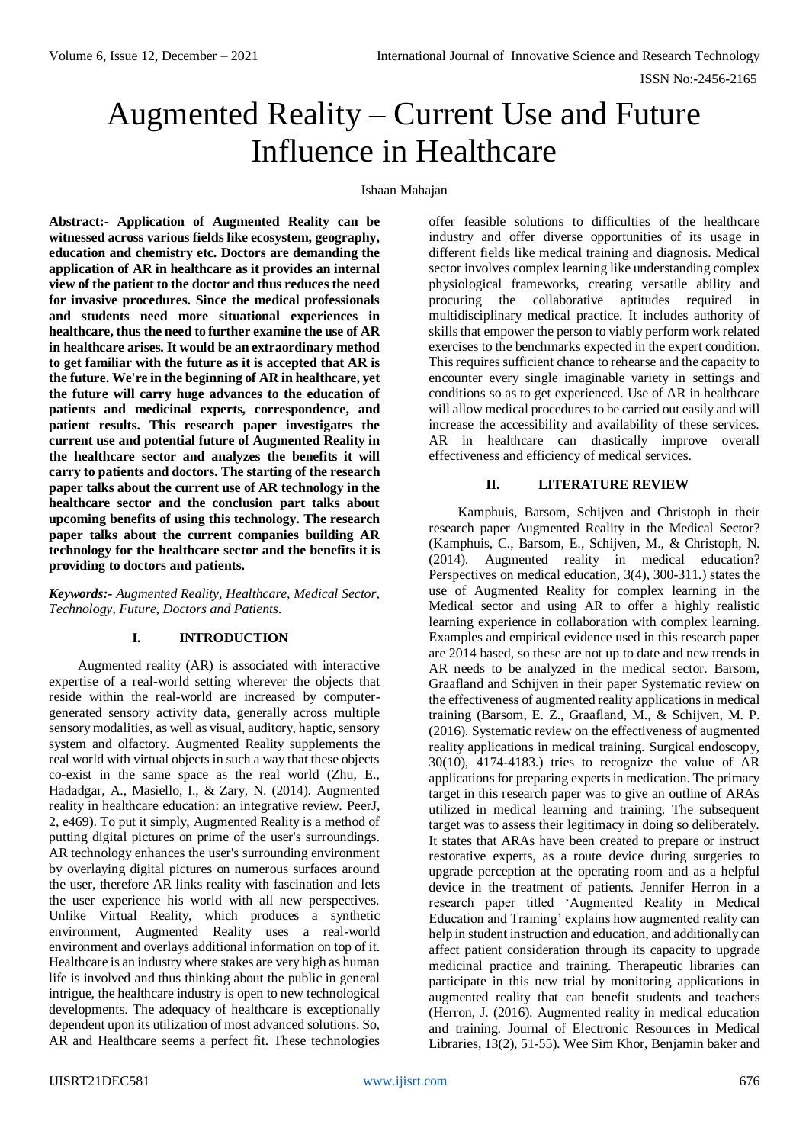# Augmented Reality – Current Use and Future Influence in Healthcare

#### Ishaan Mahajan

**Abstract:- Application of Augmented Reality can be witnessed across various fields like ecosystem, geography, education and chemistry etc. Doctors are demanding the application of AR in healthcare as it provides an internal view of the patient to the doctor and thus reduces the need for invasive procedures. Since the medical professionals and students need more situational experiences in healthcare, thus the need to further examine the use of AR in healthcare arises. It would be an extraordinary method to get familiar with the future as it is accepted that AR is the future. We're in the beginning of AR in healthcare, yet the future will carry huge advances to the education of patients and medicinal experts, correspondence, and patient results. This research paper investigates the current use and potential future of Augmented Reality in the healthcare sector and analyzes the benefits it will carry to patients and doctors. The starting of the research paper talks about the current use of AR technology in the healthcare sector and the conclusion part talks about upcoming benefits of using this technology. The research paper talks about the current companies building AR technology for the healthcare sector and the benefits it is providing to doctors and patients.**

*Keywords:- Augmented Reality, Healthcare, Medical Sector, Technology, Future, Doctors and Patients.*

# **I. INTRODUCTION**

Augmented reality (AR) is associated with interactive expertise of a real-world setting wherever the objects that reside within the real-world are increased by computergenerated sensory activity data, generally across multiple sensory modalities, as well as visual, auditory, haptic, sensory system and olfactory. Augmented Reality supplements the real world with virtual objects in such a way that these objects co-exist in the same space as the real world (Zhu, E., Hadadgar, A., Masiello, I., & Zary, N. (2014). Augmented reality in healthcare education: an integrative review. PeerJ, 2, e469). To put it simply, Augmented Reality is a method of putting digital pictures on prime of the user's surroundings. AR technology enhances the user's surrounding environment by overlaying digital pictures on numerous surfaces around the user, therefore AR links reality with fascination and lets the user experience his world with all new perspectives. Unlike Virtual Reality, which produces a synthetic environment, Augmented Reality uses a real-world environment and overlays additional information on top of it. Healthcare is an industry where stakes are very high as human life is involved and thus thinking about the public in general intrigue, the healthcare industry is open to new technological developments. The adequacy of healthcare is exceptionally dependent upon its utilization of most advanced solutions. So, AR and Healthcare seems a perfect fit. These technologies

offer feasible solutions to difficulties of the healthcare industry and offer diverse opportunities of its usage in different fields like medical training and diagnosis. Medical sector involves complex learning like understanding complex physiological frameworks, creating versatile ability and procuring the collaborative aptitudes required in multidisciplinary medical practice. It includes authority of skills that empower the person to viably perform work related exercises to the benchmarks expected in the expert condition. This requires sufficient chance to rehearse and the capacity to encounter every single imaginable variety in settings and conditions so as to get experienced. Use of AR in healthcare will allow medical procedures to be carried out easily and will increase the accessibility and availability of these services. AR in healthcare can drastically improve overall effectiveness and efficiency of medical services.

## **II. LITERATURE REVIEW**

Kamphuis, Barsom, Schijven and Christoph in their research paper Augmented Reality in the Medical Sector? (Kamphuis, C., Barsom, E., Schijven, M., & Christoph, N. (2014). Augmented reality in medical education? Perspectives on medical education, 3(4), 300-311.) states the use of Augmented Reality for complex learning in the Medical sector and using AR to offer a highly realistic learning experience in collaboration with complex learning. Examples and empirical evidence used in this research paper are 2014 based, so these are not up to date and new trends in AR needs to be analyzed in the medical sector. Barsom, Graafland and Schijven in their paper Systematic review on the effectiveness of augmented reality applications in medical training (Barsom, E. Z., Graafland, M., & Schijven, M. P. (2016). Systematic review on the effectiveness of augmented reality applications in medical training. Surgical endoscopy, 30(10), 4174-4183.) tries to recognize the value of AR applications for preparing experts in medication. The primary target in this research paper was to give an outline of ARAs utilized in medical learning and training. The subsequent target was to assess their legitimacy in doing so deliberately. It states that ARAs have been created to prepare or instruct restorative experts, as a route device during surgeries to upgrade perception at the operating room and as a helpful device in the treatment of patients. Jennifer Herron in a research paper titled 'Augmented Reality in Medical Education and Training' explains how augmented reality can help in student instruction and education, and additionally can affect patient consideration through its capacity to upgrade medicinal practice and training. Therapeutic libraries can participate in this new trial by monitoring applications in augmented reality that can benefit students and teachers (Herron, J. (2016). Augmented reality in medical education and training. Journal of Electronic Resources in Medical Libraries, 13(2), 51-55). Wee Sim Khor, Benjamin baker and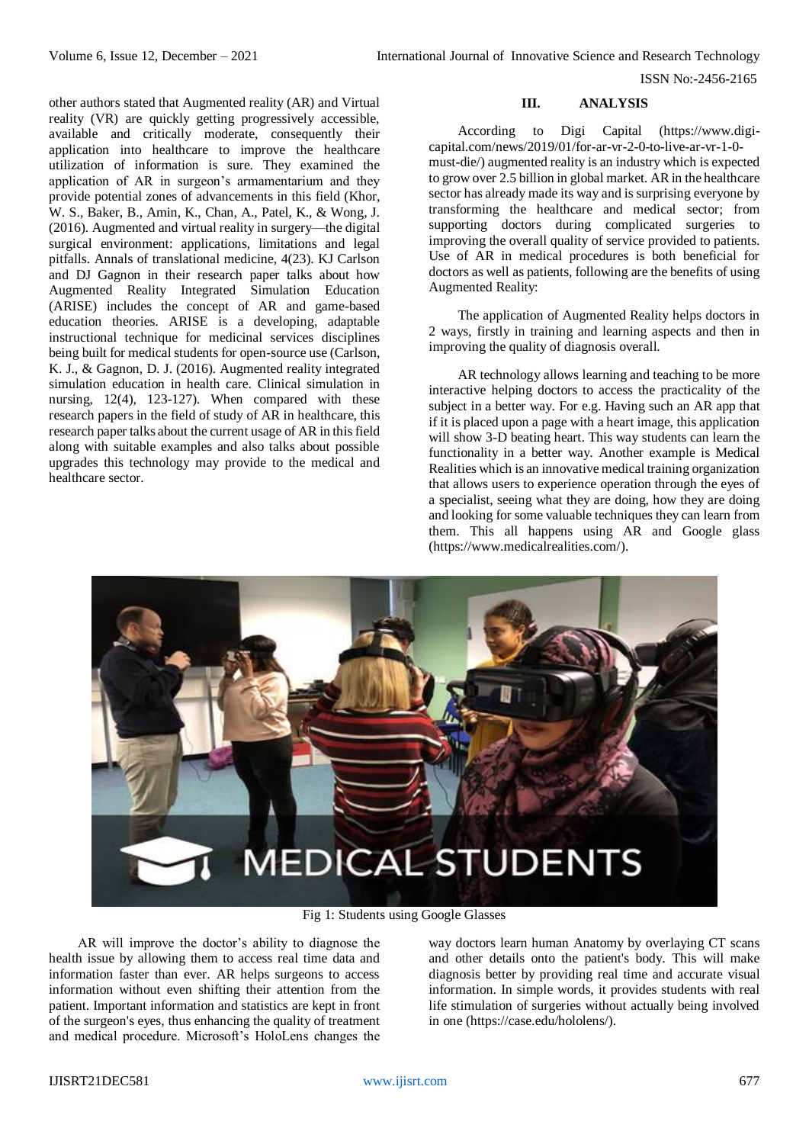ISSN No:-2456-2165

# other authors stated that Augmented reality (AR) and Virtual reality (VR) are quickly getting progressively accessible, available and critically moderate, consequently their application into healthcare to improve the healthcare utilization of information is sure. They examined the application of AR in surgeon's armamentarium and they provide potential zones of advancements in this field (Khor, W. S., Baker, B., Amin, K., Chan, A., Patel, K., & Wong, J. (2016). Augmented and virtual reality in surgery—the digital surgical environment: applications, limitations and legal pitfalls. Annals of translational medicine, 4(23). KJ Carlson and DJ Gagnon in their research paper talks about how Augmented Reality Integrated Simulation Education (ARISE) includes the concept of AR and game-based education theories. ARISE is a developing, adaptable instructional technique for medicinal services disciplines being built for medical students for open-source use (Carlson, K. J., & Gagnon, D. J. (2016). Augmented reality integrated simulation education in health care. Clinical simulation in nursing, 12(4), 123-127). When compared with these research papers in the field of study of AR in healthcare, this research paper talks about the current usage of AR in this field along with suitable examples and also talks about possible upgrades this technology may provide to the medical and healthcare sector.

# **III. ANALYSIS**

According to Digi Capital [\(https://www.digi](https://www.digi-capital.com/news/2019/01/for-ar-vr-2-0-to-live-ar-vr-1-0-must-die/)[capital.com/news/2019/01/for-ar-vr-2-0-to-live-ar-vr-1-0](https://www.digi-capital.com/news/2019/01/for-ar-vr-2-0-to-live-ar-vr-1-0-must-die/) [must-die/\)](https://www.digi-capital.com/news/2019/01/for-ar-vr-2-0-to-live-ar-vr-1-0-must-die/) augmented reality is an industry which is expected to grow over 2.5 billion in global market. AR in the healthcare sector has already made its way and is surprising everyone by transforming the healthcare and medical sector; from supporting doctors during complicated surgeries to improving the overall quality of service provided to patients. Use of AR in medical procedures is both beneficial for doctors as well as patients, following are the benefits of using Augmented Reality:

The application of Augmented Reality helps doctors in 2 ways, firstly in training and learning aspects and then in improving the quality of diagnosis overall.

AR technology allows learning and teaching to be more interactive helping doctors to access the practicality of the subject in a better way. For e.g. Having such an AR app that if it is placed upon a page with a heart image, this application will show 3-D beating heart. This way students can learn the functionality in a better way. Another example is Medical Realities which is an innovative medical training organization that allows users to experience operation through the eyes of a specialist, seeing what they are doing, how they are doing and looking for some valuable techniques they can learn from them. This all happens using AR and Google glass [\(https://www.medicalrealities.com/\)](https://www.medicalrealities.com/).



Fig 1: Students using Google Glasses

AR will improve the doctor's ability to diagnose the health issue by allowing them to access real time data and information faster than ever. AR helps surgeons to access information without even shifting their attention from the patient. Important information and statistics are kept in front of the surgeon's eyes, thus enhancing the quality of treatment and medical procedure. Microsoft's HoloLens changes the way doctors learn human Anatomy by overlaying CT scans and other details onto the patient's body. This will make diagnosis better by providing real time and accurate visual information. In simple words, it provides students with real life stimulation of surgeries without actually being involved in one [\(https://case.edu/hololens/\)](https://case.edu/hololens/).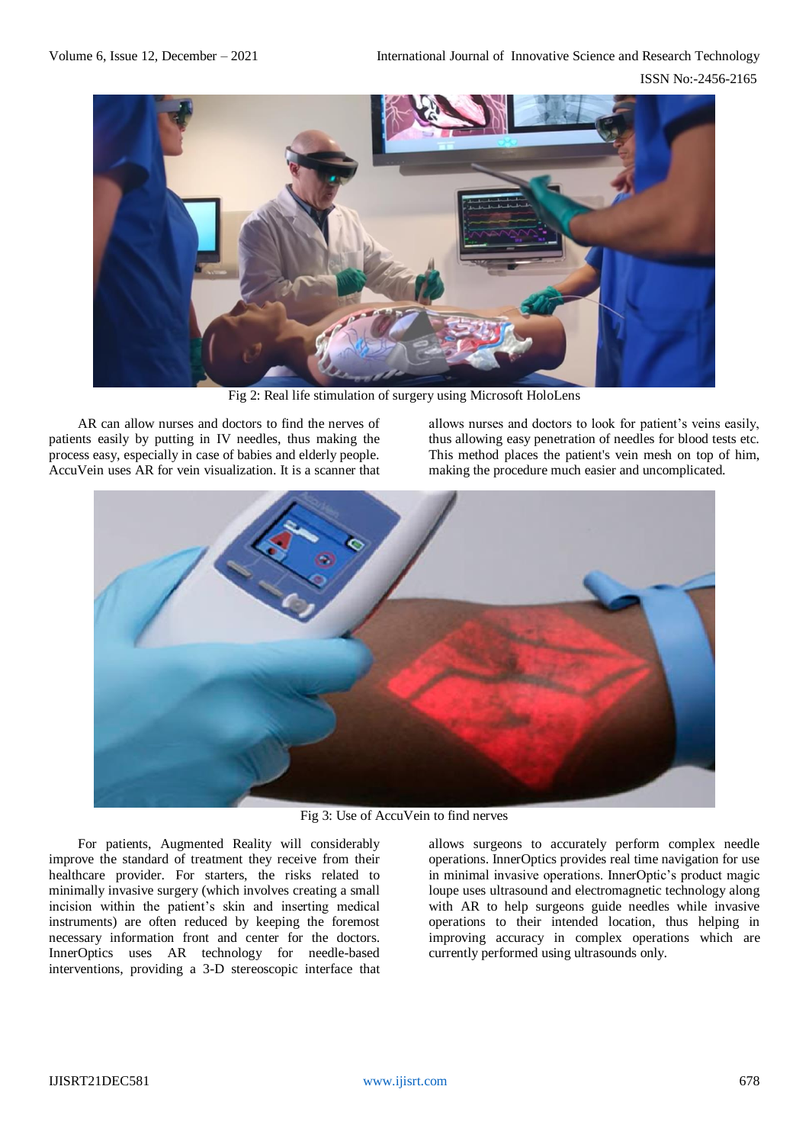

Fig 2: Real life stimulation of surgery using Microsoft HoloLens

AR can allow nurses and doctors to find the nerves of patients easily by putting in IV needles, thus making the process easy, especially in case of babies and elderly people. AccuVein uses AR for vein visualization. It is a scanner that allows nurses and doctors to look for patient's veins easily, thus allowing easy penetration of needles for blood tests etc. This method places the patient's vein mesh on top of him, making the procedure much easier and uncomplicated.



Fig 3: Use of AccuVein to find nerves

For patients, Augmented Reality will considerably improve the standard of treatment they receive from their healthcare provider. For starters, the risks related to minimally invasive surgery (which involves creating a small incision within the patient's skin and inserting medical instruments) are often reduced by keeping the foremost necessary information front and center for the doctors. InnerOptics uses AR technology for needle-based interventions, providing a 3-D stereoscopic interface that

allows surgeons to accurately perform complex needle operations. InnerOptics provides real time navigation for use in minimal invasive operations. InnerOptic's product magic loupe uses ultrasound and electromagnetic technology along with AR to help surgeons guide needles while invasive operations to their intended location, thus helping in improving accuracy in complex operations which are currently performed using ultrasounds only.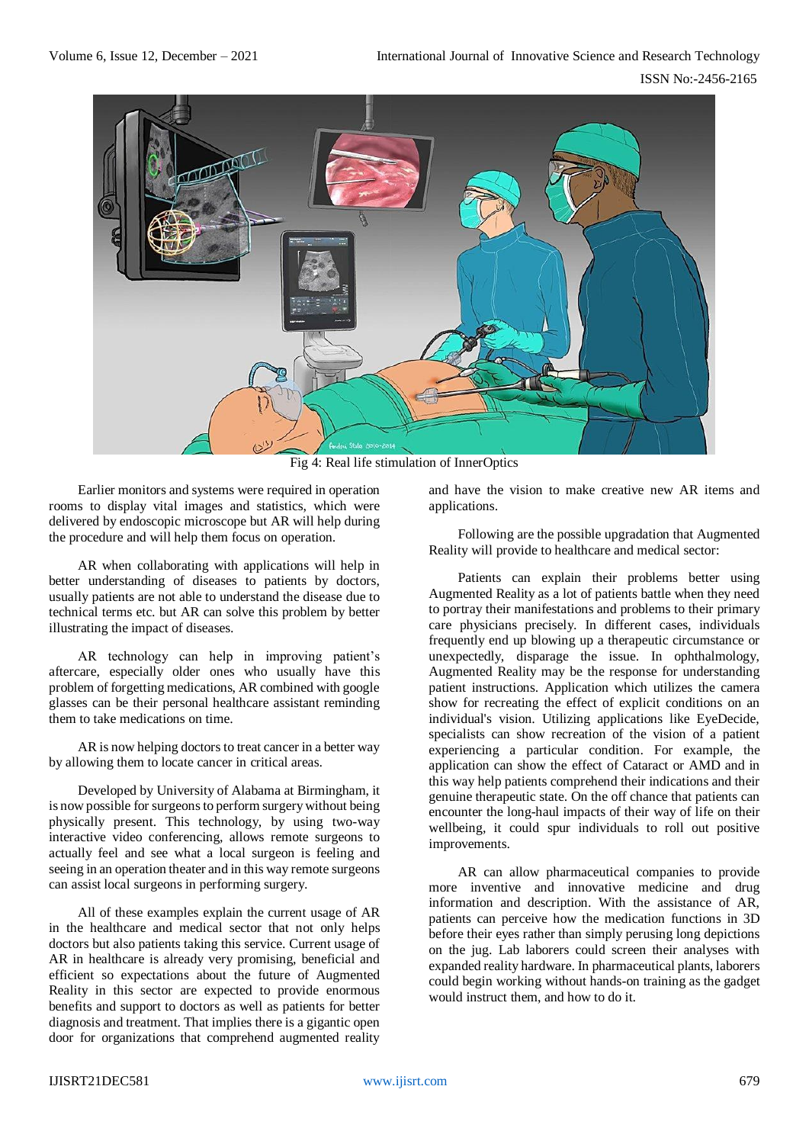

Fig 4: Real life stimulation of InnerOptics

Earlier monitors and systems were required in operation rooms to display vital images and statistics, which were delivered by endoscopic microscope but AR will help during the procedure and will help them focus on operation.

AR when collaborating with applications will help in better understanding of diseases to patients by doctors, usually patients are not able to understand the disease due to technical terms etc. but AR can solve this problem by better illustrating the impact of diseases.

AR technology can help in improving patient's aftercare, especially older ones who usually have this problem of forgetting medications, AR combined with google glasses can be their personal healthcare assistant reminding them to take medications on time.

AR is now helping doctors to treat cancer in a better way by allowing them to locate cancer in critical areas.

Developed by University of Alabama at Birmingham, it is now possible for surgeons to perform surgery without being physically present. This technology, by using two-way interactive video conferencing, allows remote surgeons to actually feel and see what a local surgeon is feeling and seeing in an operation theater and in this way remote surgeons can assist local surgeons in performing surgery.

All of these examples explain the current usage of AR in the healthcare and medical sector that not only helps doctors but also patients taking this service. Current usage of AR in healthcare is already very promising, beneficial and efficient so expectations about the future of Augmented Reality in this sector are expected to provide enormous benefits and support to doctors as well as patients for better diagnosis and treatment. That implies there is a gigantic open door for organizations that comprehend augmented reality

and have the vision to make creative new AR items and applications.

Following are the possible upgradation that Augmented Reality will provide to healthcare and medical sector:

Patients can explain their problems better using Augmented Reality as a lot of patients battle when they need to portray their manifestations and problems to their primary care physicians precisely. In different cases, individuals frequently end up blowing up a therapeutic circumstance or unexpectedly, disparage the issue. In ophthalmology, Augmented Reality may be the response for understanding patient instructions. Application which utilizes the camera show for recreating the effect of explicit conditions on an individual's vision. Utilizing applications like EyeDecide, specialists can show recreation of the vision of a patient experiencing a particular condition. For example, the application can show the effect of Cataract or AMD and in this way help patients comprehend their indications and their genuine therapeutic state. On the off chance that patients can encounter the long-haul impacts of their way of life on their wellbeing, it could spur individuals to roll out positive improvements.

AR can allow pharmaceutical companies to provide more inventive and innovative medicine and drug information and description. With the assistance of AR, patients can perceive how the medication functions in 3D before their eyes rather than simply perusing long depictions on the jug. Lab laborers could screen their analyses with expanded reality hardware. In pharmaceutical plants, laborers could begin working without hands-on training as the gadget would instruct them, and how to do it.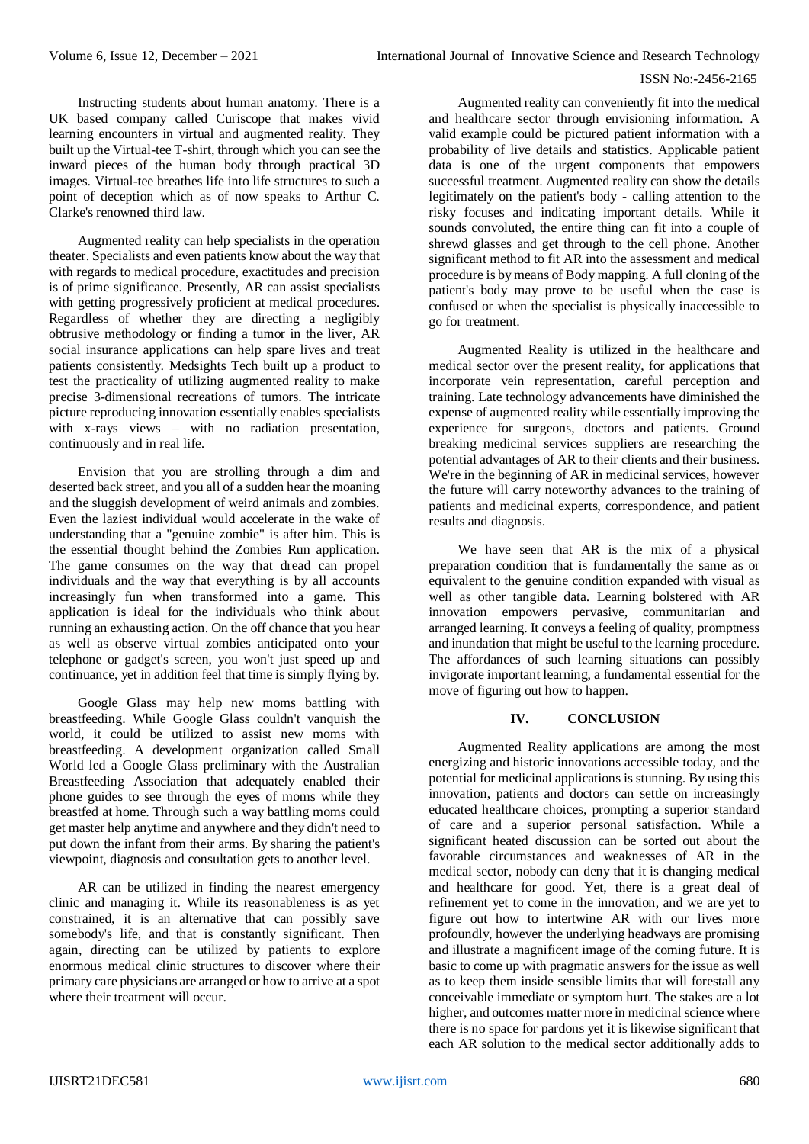# ISSN No:-2456-2165

Instructing students about human anatomy. There is a UK based company called Curiscope that makes vivid learning encounters in virtual and augmented reality. They built up the Virtual-tee T-shirt, through which you can see the inward pieces of the human body through practical 3D images. Virtual-tee breathes life into life structures to such a point of deception which as of now speaks to Arthur C. Clarke's renowned third law.

Augmented reality can help specialists in the operation theater. Specialists and even patients know about the way that with regards to medical procedure, exactitudes and precision is of prime significance. Presently, AR can assist specialists with getting progressively proficient at medical procedures. Regardless of whether they are directing a negligibly obtrusive methodology or finding a tumor in the liver, AR social insurance applications can help spare lives and treat patients consistently. Medsights Tech built up a product to test the practicality of utilizing augmented reality to make precise 3-dimensional recreations of tumors. The intricate picture reproducing innovation essentially enables specialists with x-rays views – with no radiation presentation, continuously and in real life.

Envision that you are strolling through a dim and deserted back street, and you all of a sudden hear the moaning and the sluggish development of weird animals and zombies. Even the laziest individual would accelerate in the wake of understanding that a "genuine zombie" is after him. This is the essential thought behind the Zombies Run application. The game consumes on the way that dread can propel individuals and the way that everything is by all accounts increasingly fun when transformed into a game. This application is ideal for the individuals who think about running an exhausting action. On the off chance that you hear as well as observe virtual zombies anticipated onto your telephone or gadget's screen, you won't just speed up and continuance, yet in addition feel that time is simply flying by.

Google Glass may help new moms battling with breastfeeding. While Google Glass couldn't vanquish the world, it could be utilized to assist new moms with breastfeeding. A development organization called Small World led a Google Glass preliminary with the Australian Breastfeeding Association that adequately enabled their phone guides to see through the eyes of moms while they breastfed at home. Through such a way battling moms could get master help anytime and anywhere and they didn't need to put down the infant from their arms. By sharing the patient's viewpoint, diagnosis and consultation gets to another level.

AR can be utilized in finding the nearest emergency clinic and managing it. While its reasonableness is as yet constrained, it is an alternative that can possibly save somebody's life, and that is constantly significant. Then again, directing can be utilized by patients to explore enormous medical clinic structures to discover where their primary care physicians are arranged or how to arrive at a spot where their treatment will occur

Augmented reality can conveniently fit into the medical and healthcare sector through envisioning information. A valid example could be pictured patient information with a probability of live details and statistics. Applicable patient data is one of the urgent components that empowers successful treatment. Augmented reality can show the details legitimately on the patient's body - calling attention to the risky focuses and indicating important details. While it sounds convoluted, the entire thing can fit into a couple of shrewd glasses and get through to the cell phone. Another significant method to fit AR into the assessment and medical procedure is by means of Body mapping. A full cloning of the patient's body may prove to be useful when the case is confused or when the specialist is physically inaccessible to go for treatment.

Augmented Reality is utilized in the healthcare and medical sector over the present reality, for applications that incorporate vein representation, careful perception and training. Late technology advancements have diminished the expense of augmented reality while essentially improving the experience for surgeons, doctors and patients. Ground breaking medicinal services suppliers are researching the potential advantages of AR to their clients and their business. We're in the beginning of AR in medicinal services, however the future will carry noteworthy advances to the training of patients and medicinal experts, correspondence, and patient results and diagnosis.

We have seen that AR is the mix of a physical preparation condition that is fundamentally the same as or equivalent to the genuine condition expanded with visual as well as other tangible data. Learning bolstered with AR innovation empowers pervasive, communitarian and arranged learning. It conveys a feeling of quality, promptness and inundation that might be useful to the learning procedure. The affordances of such learning situations can possibly invigorate important learning, a fundamental essential for the move of figuring out how to happen.

# **IV. CONCLUSION**

Augmented Reality applications are among the most energizing and historic innovations accessible today, and the potential for medicinal applications is stunning. By using this innovation, patients and doctors can settle on increasingly educated healthcare choices, prompting a superior standard of care and a superior personal satisfaction. While a significant heated discussion can be sorted out about the favorable circumstances and weaknesses of AR in the medical sector, nobody can deny that it is changing medical and healthcare for good. Yet, there is a great deal of refinement yet to come in the innovation, and we are yet to figure out how to intertwine AR with our lives more profoundly, however the underlying headways are promising and illustrate a magnificent image of the coming future. It is basic to come up with pragmatic answers for the issue as well as to keep them inside sensible limits that will forestall any conceivable immediate or symptom hurt. The stakes are a lot higher, and outcomes matter more in medicinal science where there is no space for pardons yet it is likewise significant that each AR solution to the medical sector additionally adds to